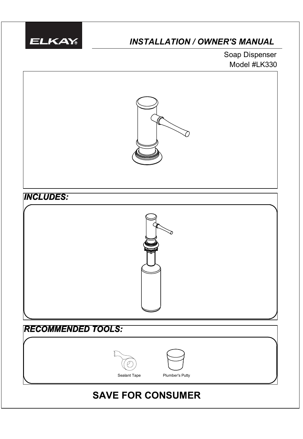

# *INSTALLATION / OWNER'S MANUAL*

Model #LK330 Soap Dispenser



# **SAVE FOR CONSUMER**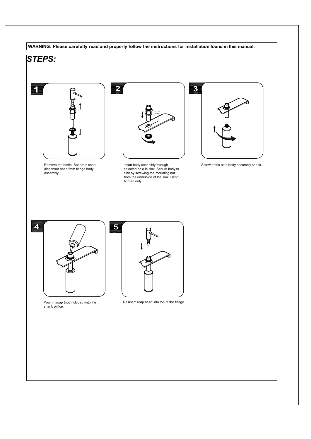